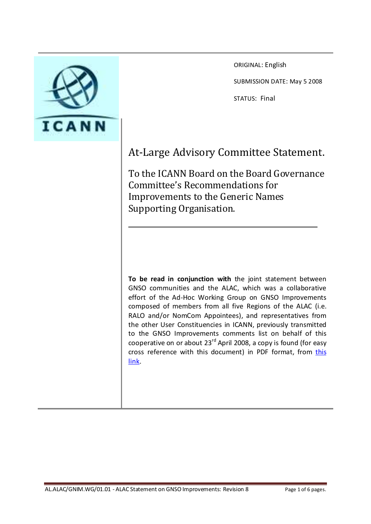

ORIGINAL: English

SUBMISSION DATE: May 5 2008

STATUS: Final

# At-Large Advisory Committee Statement.

To the ICANN Board on the Board Governance Committee's Recommendations for Improvements to the Generic Names Supporting Organisation.

**To be read in conjunction with** the joint statement between GNSO communities and the ALAC, which was a collaborative effort of the Ad-Hoc Working Group on GNSO Improvements composed of members from all five Regions of the ALAC (i.e. RALO and/or NomCom Appointees), and representatives from the other User Constituencies in ICANN, previously transmitted to the GNSO Improvements comments list on behalf of this cooperative on or about 23<sup>rd</sup> April 2008, a copy is found (for easy cross reference with this document) in PDF format, from [this](https://st.icann.org/data/workspaces/alac-docs/attachments/al_alac_gnim_wg_01_01_alac_statement_on_gnso_improvements:20080423215358-0-13145/files/Proposal%20for%20GNSO%20Structural%20Change.pdf)  [link.](https://st.icann.org/data/workspaces/alac-docs/attachments/al_alac_gnim_wg_01_01_alac_statement_on_gnso_improvements:20080423215358-0-13145/files/Proposal%20for%20GNSO%20Structural%20Change.pdf)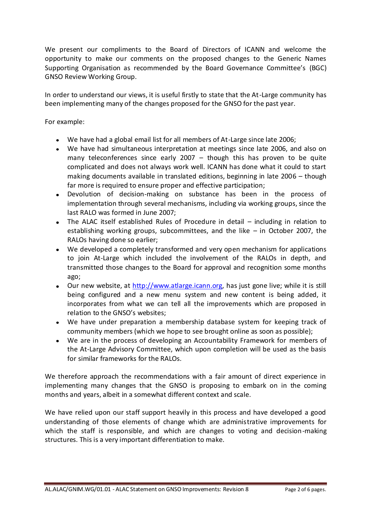We present our compliments to the Board of Directors of ICANN and welcome the opportunity to make our comments on the proposed changes to the Generic Names Supporting Organisation as recommended by the Board Governance Committee's (BGC) GNSO Review Working Group.

In order to understand our views, it is useful firstly to state that the At-Large community has been implementing many of the changes proposed for the GNSO for the past year.

For example:

- We have had a global email list for all members of At-Large since late 2006;
- We have had simultaneous interpretation at meetings since late 2006, and also on many teleconferences since early  $2007 -$  though this has proven to be quite complicated and does not always work well. ICANN has done what it could to start making documents available in translated editions, beginning in late 2006 – though far more is required to ensure proper and effective participation;
- $\bullet$ Devolution of decision-making on substance has been in the process of implementation through several mechanisms, including via working groups, since the last RALO was formed in June 2007;
- The ALAC itself established Rules of Procedure in detail including in relation to establishing working groups, subcommittees, and the like – in October 2007, the RALOs having done so earlier;
- We developed a completely transformed and very open mechanism for applications to join At-Large which included the involvement of the RALOs in depth, and transmitted those changes to the Board for approval and recognition some months ago;
- Our new website, at [http://www.atlarge.icann.org,](http://www.atlarge.icann.org/) has just gone live; while it is still being configured and a new menu system and new content is being added, it incorporates from what we can tell all the improvements which are proposed in relation to the GNSO's websites;
- We have under preparation a membership database system for keeping track of community members (which we hope to see brought online as soon as possible);
- We are in the process of developing an Accountability Framework for members of the At-Large Advisory Committee, which upon completion will be used as the basis for similar frameworks for the RALOs.

We therefore approach the recommendations with a fair amount of direct experience in implementing many changes that the GNSO is proposing to embark on in the coming months and years, albeit in a somewhat different context and scale.

We have relied upon our staff support heavily in this process and have developed a good understanding of those elements of change which are administrative improvements for which the staff is responsible, and which are changes to voting and decision-making structures. This is a very important differentiation to make.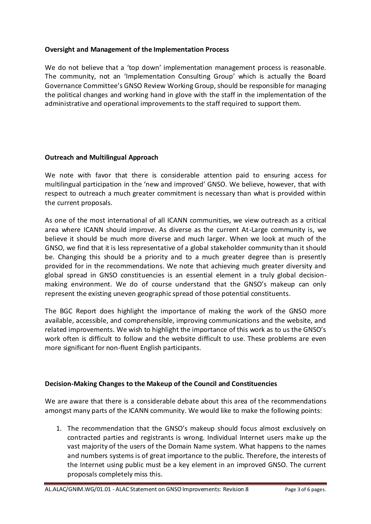## **Oversight and Management of the Implementation Process**

We do not believe that a 'top down' implementation management process is reasonable. The community, not an 'Implementation Consulting Group' which is actually the Board Governance Committee's GNSO Review Working Group, should be responsible for managing the political changes and working hand in glove with the staff in the implementation of the administrative and operational improvements to the staff required to support them.

#### **Outreach and Multilingual Approach**

We note with favor that there is considerable attention paid to ensuring access for multilingual participation in the 'new and improved' GNSO. We believe, however, that with respect to outreach a much greater commitment is necessary than what is provided within the current proposals.

As one of the most international of all ICANN communities, we view outreach as a critical area where ICANN should improve. As diverse as the current At-Large community is, we believe it should be much more diverse and much larger. When we look at much of the GNSO, we find that it is less representative of a global stakeholder community than it should be. Changing this should be a priority and to a much greater degree than is presently provided for in the recommendations. We note that achieving much greater diversity and global spread in GNSO constituencies is an essential element in a truly global decisionmaking environment. We do of course understand that the GNSO's makeup can only represent the existing uneven geographic spread of those potential constituents.

The BGC Report does highlight the importance of making the work of the GNSO more available, accessible, and comprehensible, improving communications and the website, and related improvements. We wish to highlight the importance of this work as to us the GNSO's work often is difficult to follow and the website difficult to use. These problems are even more significant for non-fluent English participants.

## **Decision-Making Changes to the Makeup of the Council and Constituencies**

We are aware that there is a considerable debate about this area of the recommendations amongst many parts of the ICANN community. We would like to make the following points:

1. The recommendation that the GNSO's makeup should focus almost exclusively on contracted parties and registrants is wrong. Individual Internet users make up the vast majority of the users of the Domain Name system. What happens to the names and numbers systems is of great importance to the public. Therefore, the interests of the Internet using public must be a key element in an improved GNSO. The current proposals completely miss this.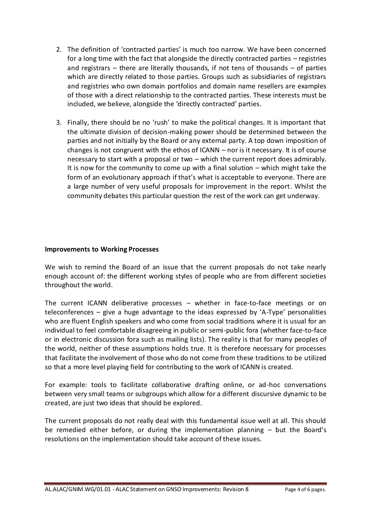- 2. The definition of 'contracted parties' is much too narrow. We have been concerned for a long time with the fact that alongside the directly contracted parties – registries and registrars  $-$  there are literally thousands, if not tens of thousands  $-$  of parties which are directly related to those parties. Groups such as subsidiaries of registrars and registries who own domain portfolios and domain name resellers are examples of those with a direct relationship to the contracted parties. These interests must be included, we believe, alongside the 'directly contracted' parties.
- 3. Finally, there should be no 'rush' to make the political changes. It is important that the ultimate division of decision-making power should be determined between the parties and not initially by the Board or any external party. A top down imposition of changes is not congruent with the ethos of ICANN – nor is it necessary. It is of course necessary to start with a proposal or two – which the current report does admirably. It is now for the community to come up with a final solution – which might take the form of an evolutionary approach if that's what is acceptable to everyone. There are a large number of very useful proposals for improvement in the report. Whilst the community debates this particular question the rest of the work can get underway.

#### **Improvements to Working Processes**

We wish to remind the Board of an issue that the current proposals do not take nearly enough account of: the different working styles of people who are from different societies throughout the world.

The current ICANN deliberative processes – whether in face-to-face meetings or on teleconferences – give a huge advantage to the ideas expressed by 'A-Type' personalities who are fluent English speakers and who come from social traditions where it is usual for an individual to feel comfortable disagreeing in public or semi-public fora (whether face-to-face or in electronic discussion fora such as mailing lists). The reality is that for many peoples of the world, neither of these assumptions holds true. It is therefore necessary for processes that facilitate the involvement of those who do not come from these traditions to be utilized so that a more level playing field for contributing to the work of ICANN is created.

For example: tools to facilitate collaborative drafting online, or ad-hoc conversations between very small teams or subgroups which allow for a different discursive dynamic to be created, are just two ideas that should be explored.

The current proposals do not really deal with this fundamental issue well at all. This should be remedied either before, or during the implementation planning – but the Board's resolutions on the implementation should take account of these issues.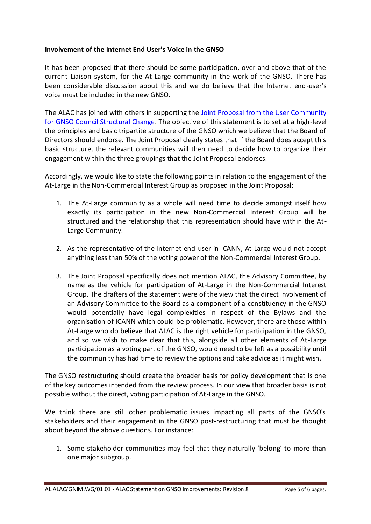## **Involvement of the Internet End User's Voice in the GNSO**

It has been proposed that there should be some participation, over and above that of the current Liaison system, for the At-Large community in the work of the GNSO. There has been considerable discussion about this and we do believe that the Internet end-user's voice must be included in the new GNSO.

The ALAC has joined with others in supporting the [Joint Proposal from the User Community](http://forum.icann.org/lists/gnso-improvements-report-2008/docTwl3R0M9fY.doc)  [for GNSO Council Structural Change.](http://forum.icann.org/lists/gnso-improvements-report-2008/docTwl3R0M9fY.doc) The objective of this statement is to set at a high-level the principles and basic tripartite structure of the GNSO which we believe that the Board of Directors should endorse. The Joint Proposal clearly states that if the Board does accept this basic structure, the relevant communities will then need to decide how to organize their engagement within the three groupings that the Joint Proposal endorses.

Accordingly, we would like to state the following points in relation to the engagement of the At-Large in the Non-Commercial Interest Group as proposed in the Joint Proposal:

- 1. The At-Large community as a whole will need time to decide amongst itself how exactly its participation in the new Non-Commercial Interest Group will be structured and the relationship that this representation should have within the At-Large Community.
- 2. As the representative of the Internet end-user in ICANN, At-Large would not accept anything less than 50% of the voting power of the Non-Commercial Interest Group.
- 3. The Joint Proposal specifically does not mention ALAC, the Advisory Committee, by name as the vehicle for participation of At-Large in the Non-Commercial Interest Group. The drafters of the statement were of the view that the direct involvement of an Advisory Committee to the Board as a component of a constituency in the GNSO would potentially have legal complexities in respect of the Bylaws and the organisation of ICANN which could be problematic. However, there are those within At-Large who do believe that ALAC is the right vehicle for participation in the GNSO, and so we wish to make clear that this, alongside all other elements of At-Large participation as a voting part of the GNSO, would need to be left as a possibility until the community has had time to review the options and take advice as it might wish.

The GNSO restructuring should create the broader basis for policy development that is one of the key outcomes intended from the review process. In our view that broader basis is not possible without the direct, voting participation of At-Large in the GNSO.

We think there are still other problematic issues impacting all parts of the GNSO's stakeholders and their engagement in the GNSO post-restructuring that must be thought about beyond the above questions. For instance:

1. Some stakeholder communities may feel that they naturally 'belong' to more than one major subgroup.